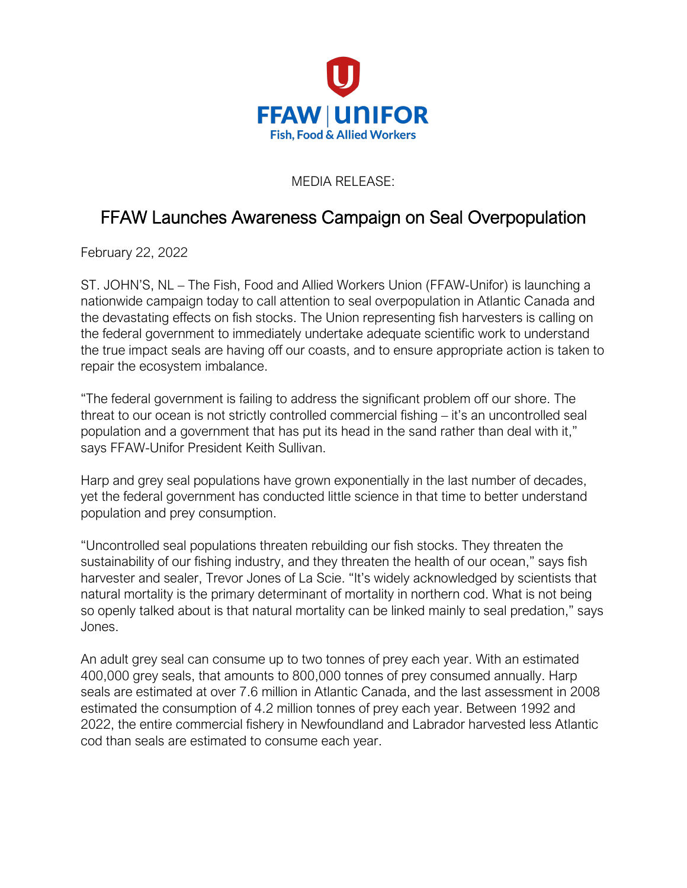

## MEDIA RELEASE:

## FFAW Launches Awareness Campaign on Seal Overpopulation

February 22, 2022

ST. JOHN'S, NL – The Fish, Food and Allied Workers Union (FFAW-Unifor) is launching a nationwide campaign today to call attention to seal overpopulation in Atlantic Canada and the devastating effects on fish stocks. The Union representing fish harvesters is calling on the federal government to immediately undertake adequate scientific work to understand the true impact seals are having off our coasts, and to ensure appropriate action is taken to repair the ecosystem imbalance.

"The federal government is failing to address the significant problem off our shore. The threat to our ocean is not strictly controlled commercial fishing – it's an uncontrolled seal population and a government that has put its head in the sand rather than deal with it," says FFAW-Unifor President Keith Sullivan.

Harp and grey seal populations have grown exponentially in the last number of decades, yet the federal government has conducted little science in that time to better understand population and prey consumption.

"Uncontrolled seal populations threaten rebuilding our fish stocks. They threaten the sustainability of our fishing industry, and they threaten the health of our ocean," says fish harvester and sealer, Trevor Jones of La Scie. "It's widely acknowledged by scientists that natural mortality is the primary determinant of mortality in northern cod. What is not being so openly talked about is that natural mortality can be linked mainly to seal predation," says Jones.

An adult grey seal can consume up to two tonnes of prey each year. With an estimated 400,000 grey seals, that amounts to 800,000 tonnes of prey consumed annually. Harp seals are estimated at over 7.6 million in Atlantic Canada, and the last assessment in 2008 estimated the consumption of 4.2 million tonnes of prey each year. Between 1992 and 2022, the entire commercial fishery in Newfoundland and Labrador harvested less Atlantic cod than seals are estimated to consume each year.